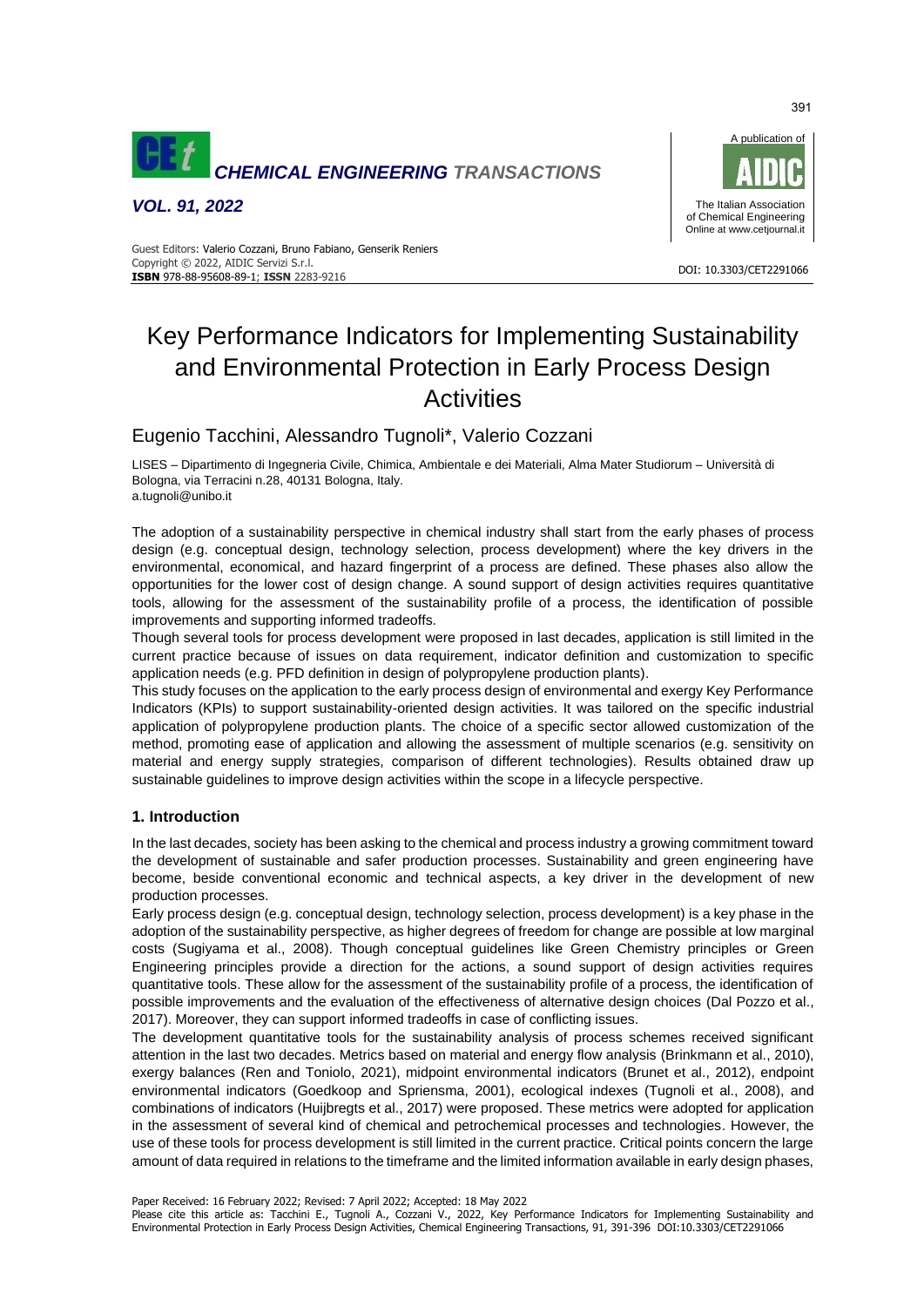

*VOL. 91, 2022*



#### DOI: 10.3303/CET2291066 **ISBN** 978-88-95608-89-1; **ISSN** 2283-9216 Guest Editors: Valerio Cozzani, Bruno Fabiano, Genserik Reniers Copyright © 2022, AIDIC Servizi S.r.l.

# Key Performance Indicators for Implementing Sustainability and Environmental Protection in Early Process Design **Activities**

Eugenio Tacchini, Alessandro Tugnoli\*, Valerio Cozzani

LISES – Dipartimento di Ingegneria Civile, Chimica, Ambientale e dei Materiali, Alma Mater Studiorum – Università di Bologna, via Terracini n.28, 40131 Bologna, Italy. a.tugnoli@unibo.it

The adoption of a sustainability perspective in chemical industry shall start from the early phases of process design (e.g. conceptual design, technology selection, process development) where the key drivers in the environmental, economical, and hazard fingerprint of a process are defined. These phases also allow the opportunities for the lower cost of design change. A sound support of design activities requires quantitative tools, allowing for the assessment of the sustainability profile of a process, the identification of possible improvements and supporting informed tradeoffs.

Though several tools for process development were proposed in last decades, application is still limited in the current practice because of issues on data requirement, indicator definition and customization to specific application needs (e.g. PFD definition in design of polypropylene production plants).

This study focuses on the application to the early process design of environmental and exergy Key Performance Indicators (KPIs) to support sustainability-oriented design activities. It was tailored on the specific industrial application of polypropylene production plants. The choice of a specific sector allowed customization of the method, promoting ease of application and allowing the assessment of multiple scenarios (e.g. sensitivity on material and energy supply strategies, comparison of different technologies). Results obtained draw up sustainable guidelines to improve design activities within the scope in a lifecycle perspective.

# **1. Introduction**

In the last decades, society has been asking to the chemical and process industry a growing commitment toward the development of sustainable and safer production processes. Sustainability and green engineering have become, beside conventional economic and technical aspects, a key driver in the development of new production processes.

Early process design (e.g. conceptual design, technology selection, process development) is a key phase in the adoption of the sustainability perspective, as higher degrees of freedom for change are possible at low marginal costs (Sugiyama et al., 2008). Though conceptual guidelines like Green Chemistry principles or Green Engineering principles provide a direction for the actions, a sound support of design activities requires quantitative tools. These allow for the assessment of the sustainability profile of a process, the identification of possible improvements and the evaluation of the effectiveness of alternative design choices (Dal Pozzo et al., 2017). Moreover, they can support informed tradeoffs in case of conflicting issues.

The development quantitative tools for the sustainability analysis of process schemes received significant attention in the last two decades. Metrics based on material and energy flow analysis (Brinkmann et al., 2010), exergy balances (Ren and Toniolo, 2021), midpoint environmental indicators (Brunet et al., 2012), endpoint environmental indicators (Goedkoop and Spriensma, 2001), ecological indexes (Tugnoli et al., 2008), and combinations of indicators (Huijbregts et al., 2017) were proposed. These metrics were adopted for application in the assessment of several kind of chemical and petrochemical processes and technologies. However, the use of these tools for process development is still limited in the current practice. Critical points concern the large amount of data required in relations to the timeframe and the limited information available in early design phases,

Paper Received: 16 February 2022; Revised: 7 April 2022; Accepted: 18 May 2022

Please cite this article as: Tacchini E., Tugnoli A., Cozzani V., 2022, Key Performance Indicators for Implementing Sustainability and Environmental Protection in Early Process Design Activities, Chemical Engineering Transactions, 91, 391-396 DOI:10.3303/CET2291066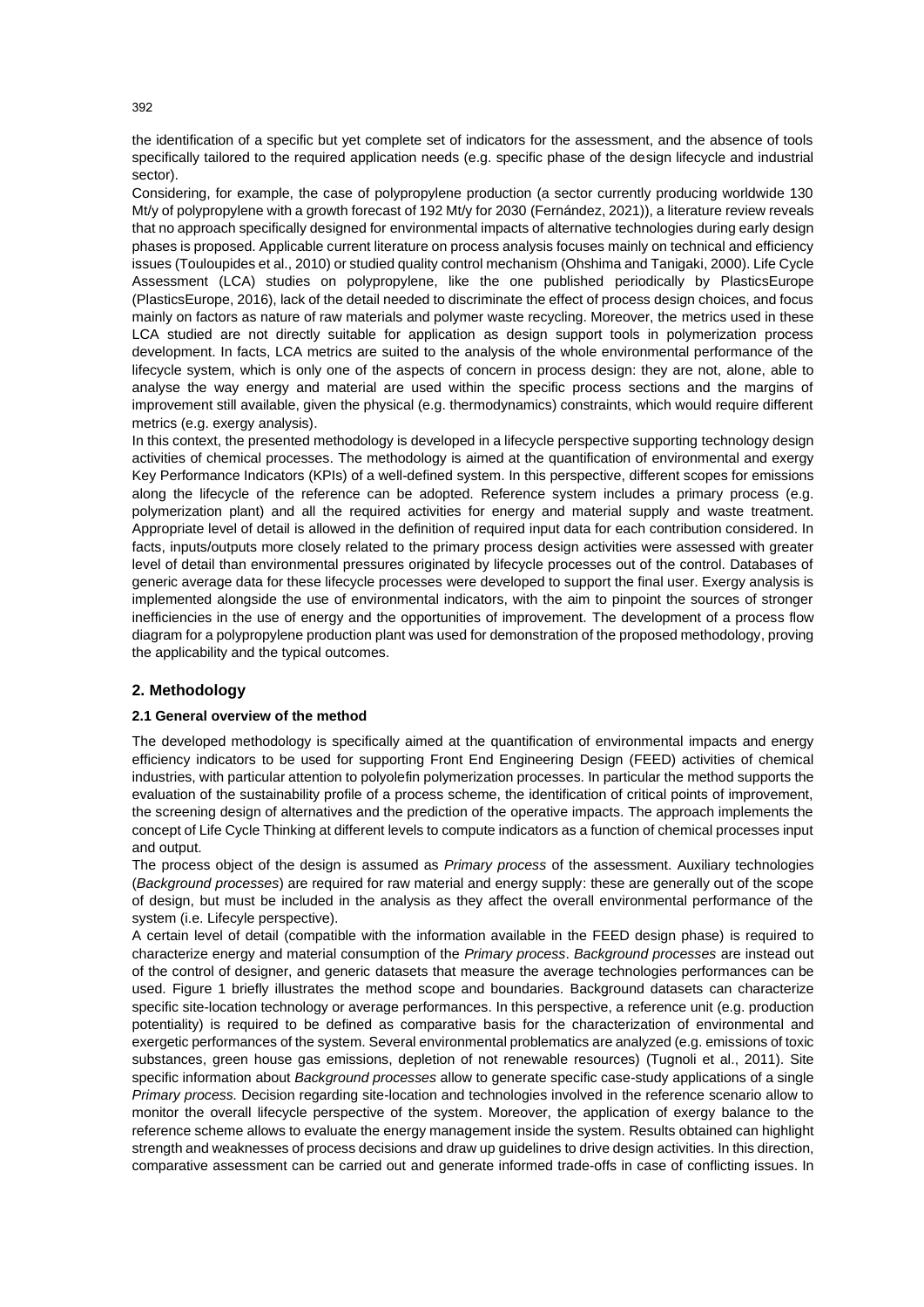the identification of a specific but yet complete set of indicators for the assessment, and the absence of tools specifically tailored to the required application needs (e.g. specific phase of the design lifecycle and industrial sector).

Considering, for example, the case of polypropylene production (a sector currently producing worldwide 130 Mt/y of polypropylene with a growth forecast of 192 Mt/y for 2030 (Fernández, 2021)), a literature review reveals that no approach specifically designed for environmental impacts of alternative technologies during early design phases is proposed. Applicable current literature on process analysis focuses mainly on technical and efficiency issues (Touloupides et al., 2010) or studied quality control mechanism (Ohshima and Tanigaki, 2000). Life Cycle Assessment (LCA) studies on polypropylene, like the one published periodically by PlasticsEurope (PlasticsEurope, 2016), lack of the detail needed to discriminate the effect of process design choices, and focus mainly on factors as nature of raw materials and polymer waste recycling. Moreover, the metrics used in these LCA studied are not directly suitable for application as design support tools in polymerization process development. In facts, LCA metrics are suited to the analysis of the whole environmental performance of the lifecycle system, which is only one of the aspects of concern in process design: they are not, alone, able to analyse the way energy and material are used within the specific process sections and the margins of improvement still available, given the physical (e.g. thermodynamics) constraints, which would require different metrics (e.g. exergy analysis).

In this context, the presented methodology is developed in a lifecycle perspective supporting technology design activities of chemical processes. The methodology is aimed at the quantification of environmental and exergy Key Performance Indicators (KPIs) of a well-defined system. In this perspective, different scopes for emissions along the lifecycle of the reference can be adopted. Reference system includes a primary process (e.g. polymerization plant) and all the required activities for energy and material supply and waste treatment. Appropriate level of detail is allowed in the definition of required input data for each contribution considered. In facts, inputs/outputs more closely related to the primary process design activities were assessed with greater level of detail than environmental pressures originated by lifecycle processes out of the control. Databases of generic average data for these lifecycle processes were developed to support the final user. Exergy analysis is implemented alongside the use of environmental indicators, with the aim to pinpoint the sources of stronger inefficiencies in the use of energy and the opportunities of improvement. The development of a process flow diagram for a polypropylene production plant was used for demonstration of the proposed methodology, proving the applicability and the typical outcomes.

# **2. Methodology**

#### **2.1 General overview of the method**

The developed methodology is specifically aimed at the quantification of environmental impacts and energy efficiency indicators to be used for supporting Front End Engineering Design (FEED) activities of chemical industries, with particular attention to polyolefin polymerization processes. In particular the method supports the evaluation of the sustainability profile of a process scheme, the identification of critical points of improvement, the screening design of alternatives and the prediction of the operative impacts. The approach implements the concept of Life Cycle Thinking at different levels to compute indicators as a function of chemical processes input and output.

The process object of the design is assumed as *Primary process* of the assessment. Auxiliary technologies (*Background processes*) are required for raw material and energy supply: these are generally out of the scope of design, but must be included in the analysis as they affect the overall environmental performance of the system (i.e. Lifecyle perspective).

A certain level of detail (compatible with the information available in the FEED design phase) is required to characterize energy and material consumption of the *Primary process*. *Background processes* are instead out of the control of designer, and generic datasets that measure the average technologies performances can be used. Figure 1 briefly illustrates the method scope and boundaries. Background datasets can characterize specific site-location technology or average performances. In this perspective, a reference unit (e.g. production potentiality) is required to be defined as comparative basis for the characterization of environmental and exergetic performances of the system. Several environmental problematics are analyzed (e.g. emissions of toxic substances, green house gas emissions, depletion of not renewable resources) (Tugnoli et al., 2011). Site specific information about *Background processes* allow to generate specific case-study applications of a single *Primary process.* Decision regarding site-location and technologies involved in the reference scenario allow to monitor the overall lifecycle perspective of the system. Moreover, the application of exergy balance to the reference scheme allows to evaluate the energy management inside the system. Results obtained can highlight strength and weaknesses of process decisions and draw up guidelines to drive design activities. In this direction, comparative assessment can be carried out and generate informed trade-offs in case of conflicting issues. In

392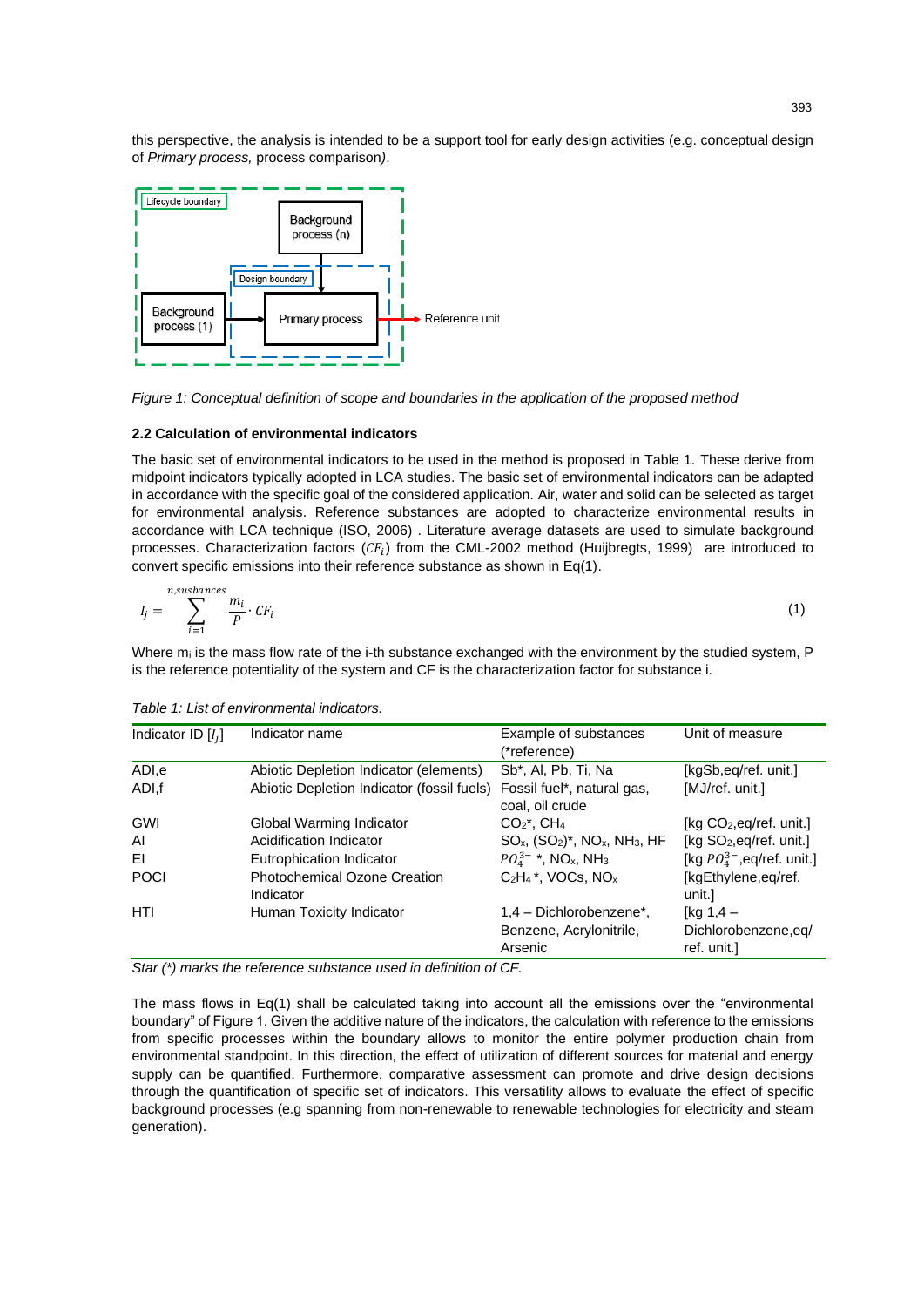this perspective, the analysis is intended to be a support tool for early design activities (e.g. conceptual design of *Primary process,* process comparison*)*.



*Figure 1: Conceptual definition of scope and boundaries in the application of the proposed method*

# **2.2 Calculation of environmental indicators**

The basic set of environmental indicators to be used in the method is proposed in Table 1. These derive from midpoint indicators typically adopted in LCA studies. The basic set of environmental indicators can be adapted in accordance with the specific goal of the considered application. Air, water and solid can be selected as target for environmental analysis. Reference substances are adopted to characterize environmental results in accordance with LCA technique (ISO, 2006) . Literature average datasets are used to simulate background processes. Characterization factors ( $CF_i$ ) from the CML-2002 method (Huijbregts, 1999) are introduced to convert specific emissions into their reference substance as shown in Eq(1).

$$
I_j = \sum_{i=1}^{n, subsances} \frac{m_i}{P} \cdot CF_i \tag{1}
$$

Where  $m_i$  is the mass flow rate of the i-th substance exchanged with the environment by the studied system,  $P$ is the reference potentiality of the system and CF is the characterization factor for substance i.

| Indicator name                                   | Example of substances                                            | Unit of measure                                    |
|--------------------------------------------------|------------------------------------------------------------------|----------------------------------------------------|
|                                                  | (*reference)                                                     |                                                    |
| Abiotic Depletion Indicator (elements)           | Sb <sup>*</sup> , Al, Pb, Ti, Na                                 | [kgSb,eq/ref. unit.]                               |
|                                                  | Fossil fuel*, natural gas,<br>coal, oil crude                    | [MJ/ref. unit.]                                    |
| Global Warming Indicator                         | $CO2*$ , CH <sub>4</sub>                                         | [ $kg CO2,eq/ref. unit.]$                          |
| Acidification Indicator                          | $SO_{x}$ , $(SO_{2})^*$ , NO <sub>x</sub> , NH <sub>3</sub> , HF | [kg SO <sub>2</sub> , eq/ref. unit.]               |
| Eutrophication Indicator                         | $PO_4^{3-*}$ , NO <sub>x</sub> , NH <sub>3</sub>                 | [kg $PO_4^{3-}$ , eq/ref. unit.]                   |
| <b>Photochemical Ozone Creation</b><br>Indicator | $C_2H_4$ <sup>*</sup> , VOCs, NO <sub>x</sub>                    | [kgEthylene,eq/ref.<br>unit.l                      |
| Human Toxicity Indicator                         | 1,4 - Dichlorobenzene*,<br>Benzene, Acrylonitrile,<br>Arsenic    | [ $kq 1,4 -$<br>Dichlorobenzene,eg/<br>ref. unit.] |
|                                                  |                                                                  | Abiotic Depletion Indicator (fossil fuels)         |

*Table 1: List of environmental indicators.*

*Star (\*) marks the reference substance used in definition of CF.*

The mass flows in Eq(1) shall be calculated taking into account all the emissions over the "environmental boundary" of Figure 1. Given the additive nature of the indicators, the calculation with reference to the emissions from specific processes within the boundary allows to monitor the entire polymer production chain from environmental standpoint. In this direction, the effect of utilization of different sources for material and energy supply can be quantified. Furthermore, comparative assessment can promote and drive design decisions through the quantification of specific set of indicators. This versatility allows to evaluate the effect of specific background processes (e.g spanning from non-renewable to renewable technologies for electricity and steam generation).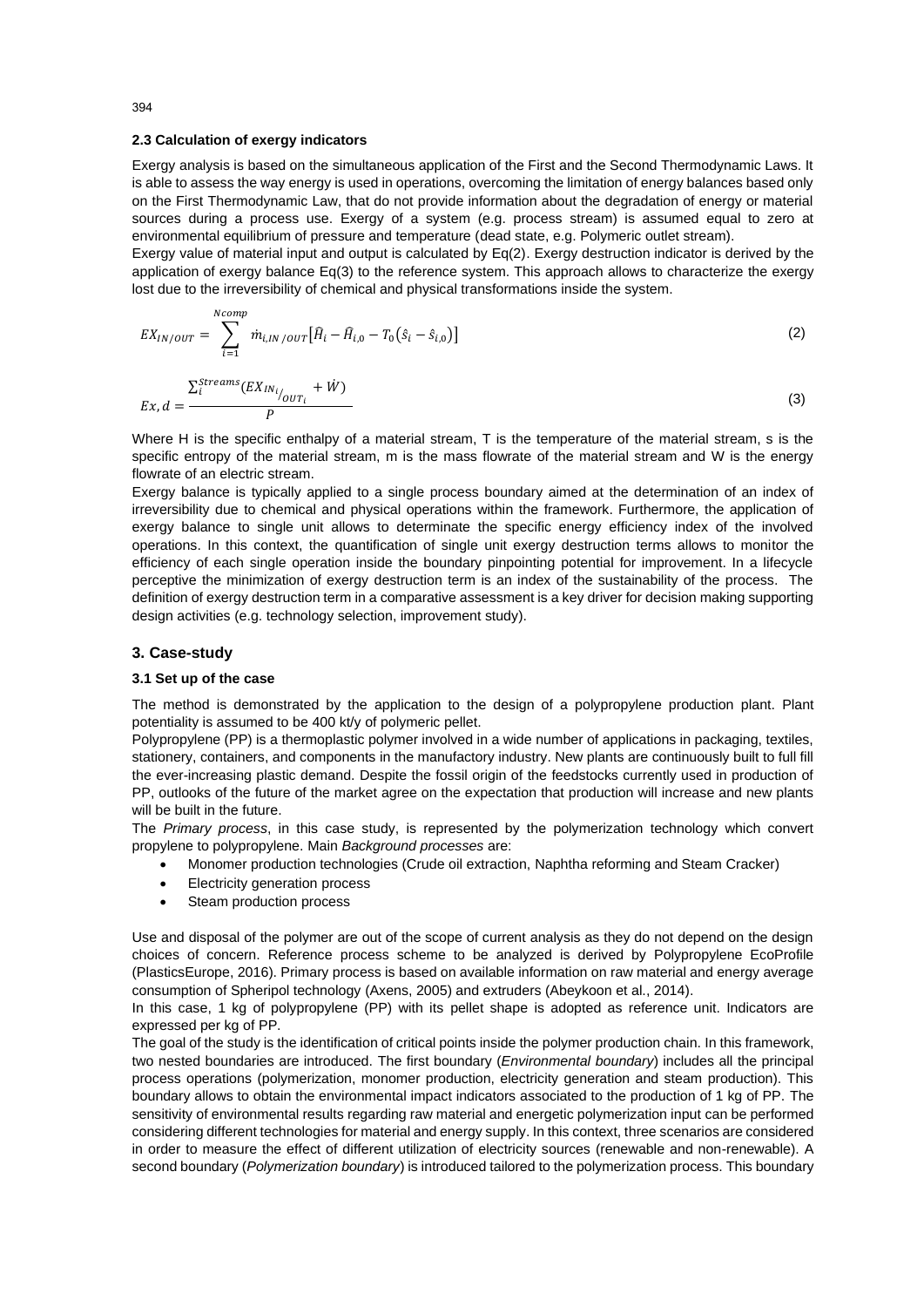### **2.3 Calculation of exergy indicators**

Exergy analysis is based on the simultaneous application of the First and the Second Thermodynamic Laws. It is able to assess the way energy is used in operations, overcoming the limitation of energy balances based only on the First Thermodynamic Law, that do not provide information about the degradation of energy or material sources during a process use. Exergy of a system (e.g. process stream) is assumed equal to zero at environmental equilibrium of pressure and temperature (dead state, e.g. Polymeric outlet stream).

Exergy value of material input and output is calculated by Eq(2). Exergy destruction indicator is derived by the application of exergy balance Eq(3) to the reference system. This approach allows to characterize the exergy lost due to the irreversibility of chemical and physical transformations inside the system.

$$
EX_{IN/OUT} = \sum_{i=1}^{Norm} m_{i,IN/OUT} [\hat{H}_i - \hat{H}_{i,0} - T_0(\hat{s}_i - \hat{s}_{i,0})]
$$
 (2)

$$
Ex, d = \frac{\sum_{i}^{Streams} (EX_{IN_i}}{P}
$$
 (3)

Where H is the specific enthalpy of a material stream, T is the temperature of the material stream, s is the specific entropy of the material stream, m is the mass flowrate of the material stream and W is the energy flowrate of an electric stream.

Exergy balance is typically applied to a single process boundary aimed at the determination of an index of irreversibility due to chemical and physical operations within the framework. Furthermore, the application of exergy balance to single unit allows to determinate the specific energy efficiency index of the involved operations. In this context, the quantification of single unit exergy destruction terms allows to monitor the efficiency of each single operation inside the boundary pinpointing potential for improvement. In a lifecycle perceptive the minimization of exergy destruction term is an index of the sustainability of the process. The definition of exergy destruction term in a comparative assessment is a key driver for decision making supporting design activities (e.g. technology selection, improvement study).

# **3. Case-study**

### **3.1 Set up of the case**

The method is demonstrated by the application to the design of a polypropylene production plant. Plant potentiality is assumed to be 400 kt/y of polymeric pellet.

Polypropylene (PP) is a thermoplastic polymer involved in a wide number of applications in packaging, textiles, stationery, containers, and components in the manufactory industry. New plants are continuously built to full fill the ever-increasing plastic demand. Despite the fossil origin of the feedstocks currently used in production of PP, outlooks of the future of the market agree on the expectation that production will increase and new plants will be built in the future.

The *Primary process*, in this case study, is represented by the polymerization technology which convert propylene to polypropylene. Main *Background processes* are:

- Monomer production technologies (Crude oil extraction, Naphtha reforming and Steam Cracker)
- **Electricity generation process**
- Steam production process

Use and disposal of the polymer are out of the scope of current analysis as they do not depend on the design choices of concern. Reference process scheme to be analyzed is derived by Polypropylene EcoProfile (PlasticsEurope, 2016). Primary process is based on available information on raw material and energy average consumption of Spheripol technology (Axens, 2005) and extruders (Abeykoon et al., 2014).

In this case, 1 kg of polypropylene (PP) with its pellet shape is adopted as reference unit. Indicators are expressed per kg of PP.

The goal of the study is the identification of critical points inside the polymer production chain. In this framework, two nested boundaries are introduced. The first boundary (*Environmental boundary*) includes all the principal process operations (polymerization, monomer production, electricity generation and steam production). This boundary allows to obtain the environmental impact indicators associated to the production of 1 kg of PP. The sensitivity of environmental results regarding raw material and energetic polymerization input can be performed considering different technologies for material and energy supply. In this context, three scenarios are considered in order to measure the effect of different utilization of electricity sources (renewable and non-renewable). A second boundary (*Polymerization boundary*) is introduced tailored to the polymerization process. This boundary

394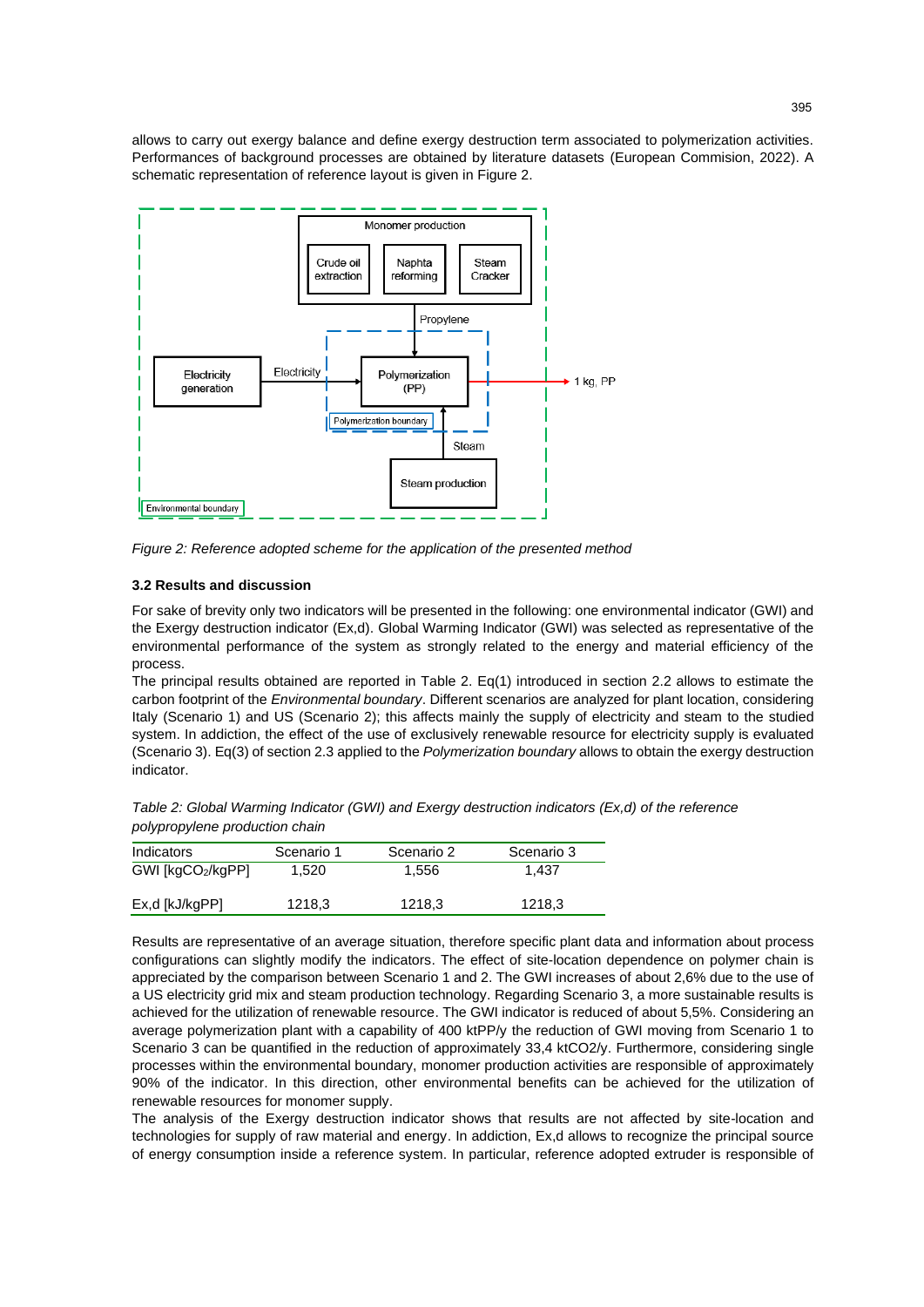allows to carry out exergy balance and define exergy destruction term associated to polymerization activities. Performances of background processes are obtained by literature datasets (European Commision, 2022). A schematic representation of reference layout is given in Figure 2.



*Figure 2: Reference adopted scheme for the application of the presented method*

# **3.2 Results and discussion**

For sake of brevity only two indicators will be presented in the following: one environmental indicator (GWI) and the Exergy destruction indicator (Ex,d). Global Warming Indicator (GWI) was selected as representative of the environmental performance of the system as strongly related to the energy and material efficiency of the process.

The principal results obtained are reported in Table 2. Eq(1) introduced in section 2.2 allows to estimate the carbon footprint of the *Environmental boundary*. Different scenarios are analyzed for plant location, considering Italy (Scenario 1) and US (Scenario 2); this affects mainly the supply of electricity and steam to the studied system. In addiction, the effect of the use of exclusively renewable resource for electricity supply is evaluated (Scenario 3). Eq(3) of section 2.3 applied to the *Polymerization boundary* allows to obtain the exergy destruction indicator.

*Table 2: Global Warming Indicator (GWI) and Exergy destruction indicators (Ex,d) of the reference polypropylene production chain*

| Indicators       | Scenario 1 | Scenario 2 | Scenario 3 |
|------------------|------------|------------|------------|
| GWI [kgCO2/kgPP] | 1,520      | 1.556      | 1.437      |
| Ex,d [kJ/kgPP]   | 1218,3     | 1218,3     | 1218,3     |

Results are representative of an average situation, therefore specific plant data and information about process configurations can slightly modify the indicators. The effect of site-location dependence on polymer chain is appreciated by the comparison between Scenario 1 and 2. The GWI increases of about 2,6% due to the use of a US electricity grid mix and steam production technology. Regarding Scenario 3, a more sustainable results is achieved for the utilization of renewable resource. The GWI indicator is reduced of about 5,5%. Considering an average polymerization plant with a capability of 400 ktPP/y the reduction of GWI moving from Scenario 1 to Scenario 3 can be quantified in the reduction of approximately 33,4 ktCO2/y. Furthermore, considering single processes within the environmental boundary, monomer production activities are responsible of approximately 90% of the indicator. In this direction, other environmental benefits can be achieved for the utilization of renewable resources for monomer supply.

The analysis of the Exergy destruction indicator shows that results are not affected by site-location and technologies for supply of raw material and energy. In addiction, Ex,d allows to recognize the principal source of energy consumption inside a reference system. In particular, reference adopted extruder is responsible of